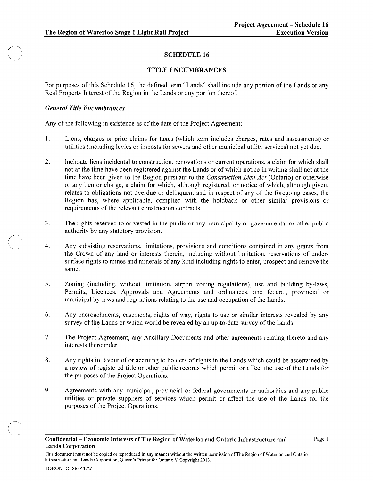# SCHEDULE 16

## TITLE ENCUMBRANCES

For purposes of this Schedule 16, the defined term "Lands" shall include any portion of the Lands or any Real Property Interest of the Region in the Lands or any portion thereof.

### *General Title Encumbrances*

 $\sim$ 

Any of the following in existence as of the date of the Project Agreement:

- 1. Liens, charges or prior claims for taxes (which term includes charges, rates and assessments) or utilities (including levies or imposts for sewers and other municipal utility services) not yet due.
- 2. Inchoate liens incidental to construction, renovations or current operations, a claim for which shall not at the time have been registered against the Lands or of which notice in writing shall not at the time have been given to the Region pursuant to the *Construction Lien Act* (Ontario) or otherwise or any lien or charge, a claim for which, although registered, or notice of which, although given, relates to obligations not overdue or delinquent and in respect of any of the foregoing cases, the Region has, where applicable, complied with the holdback or other similar provisions or requirements of the relevant construction contracts.
- 3. The rights reserved to or vested in the public or any municipality or governmental or other public authority by any statutory provision.
- 4. Any subsisting reservations, limitations, provisions and conditions contained in any grants from the Crown of any land or interests therein, including without limitation, reservations of undersurface rights to mines and minerals of any kind including rights to enter, prospect and remove the same.
- 5. Zoning (including, without limitation, airport zoning regulations), use and building by-laws, Permits, Licences, Approvals and Agreements and ordinances, and federal, provincial or municipal by-laws and regulations relating to the use and occupation of the Lands.
- 6. Any encroachments, easements, rights of way, rights to use or similar interests revealed by any survey of the Lands or which would be revealed by an up-to-date survey of the Lands.
- 7. The Project Agreement, any Ancillary Documents and other agreements relating thereto and any interests thereunder.
- 8. Any rights in favour of or accruing to holders of rights in the Lands which could be ascertained by a review of registered title or other public records which permit or affect the use of the Lands for the purposes of the Project Operations.
- 9. Agreements with any municipal, provincial or federal governments or authorities and any public utilities or private suppliers of services which permit or affect the use of the Lands for the purposes of the Project Operations.

This document must not be copied or reproduced in any manner without the written permission of The Region of Waterloo and Ontario Infrastructure and Lands Corporation, Queen's Printer for Ontario © Copyright 2013.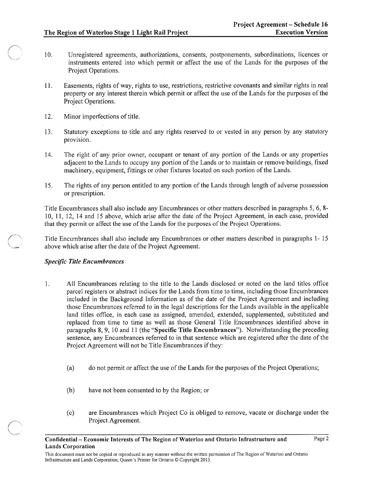- 10. Unregistered agreements, authorizations, consents, postponements, subordinations, licences or instruments entered into which permit or affect the use of the Lands for the purposes of the Project Operations.
- 11. Easements, rights of way, rights to use, restrictions, restrictive covenants and similar rights in real property or any interest therein which permit or affect the use of the Lands for the purposes of the Project Operations.
- 12. Minor imperfections of title.
- 13. Statutory exceptions to title and any rights reserved to or vested in any person by any statutory provision.
- 14. The right of any prior owner, occupant or tenant of any portion of the Lands or any properties adjacent to the Lands to occupy any portion of the Lands or to maintain or remove buildings, fixed machinery, equipment, fittings or other fixtures located on such portion of the Lands.
- 15. The rights of any person entitled to any portion of the Lands through length of adverse possession or prescription.

Title Encumbrances shall also include any Encumbrances or other matters described in paragraphs 5, 6, 8- 10, 11, 12, 14 and 15 above, which arise after the date of the Project Agreement, in each case, provided that they permit or affect the use of the Lands for the purposes of the Project Operations.

Title Encumbrances shall also include any Encumbrances or other matters described in paragraphs 1- 15 above which arise after the date of the Project Agreement.

#### *Specific Title Encumbrances*

- 1. All Encumbrances relating to the title to the Lands disclosed or noted on the land titles office parcel registers or abstract indices for the Lands from time to time, including those Encumbrances included in the Background Information as of the date of the Project Agreement and including those Encumbrances referred to in the legal descriptions for the Lands available in the applicable land titles office, in each case as assigned, amended, extended, supplemented, substituted and replaced from time to time as well as those General Title Encumbrances identified above in paragraphs 8,9, 10 and 11 (the "Specific Title Encumbrances"). Notwithstanding the preceding sentence, any Encumbrances referred to in that sentence which are registered after the date of the Project Agreement will not be Title Encumbrances if they:
	- (a) do not permit or affect the use of the Lands for the purposes of the Project Operations;
	- (b) have not been consented to by the Region; or
	- (c) are Encumbrances which Project Co is obliged to remove, vacate or discharge under the Project Agreement.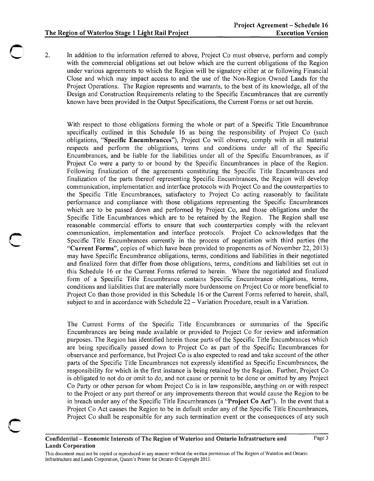2. In addition to the information referred to above, Project Co must observe, perform and comply with the commercial obligations set out below which are the current obligations of the Region under various agreements to which the Region will be signatory either at or following Financial Close and which may impact access to and the use of the Non-Region Owned Lands for the Project Operations. The Region represents and warrants, to the best of its knowledge, all of the Design and Construction Requirements relating to the Specific Encumbrances that are currently known have been provided in the Output Specifications, the Current Forms or set out herein.

With respect to those obligations forming the whole or part of a Specific Title Encumbrance specifically outlined in this Schedule 16 as being the responsibility of Project Co (such obligations, "Specific Encumbrances"), Project Co will observe, comply with in all material respects and perform the obligations, terms and conditions under all of the Specific Encumbrances, and be liable for the liabilities under all of the Specific Encumbrances, as if Project Co were a party to or bound by the Specific Encumbrances in place of the Region. Following finalization of the agreements constituting the Specific Title Encumbrances and finalization of the parts thereof representing Specific Encumbrances, the Region will develop communication, implementation and interface protocols with Project Co and the counterparties to the Specific Title Encumbrances, satisfactory to Project Co acting reasonably to facilitate performance and compliance with those obligations representing the Specific Encumbrances which are to be passed down and performed by Project Co, and those obligations under the Specific Title Encumbrances which are to be retained by the Region. The Region shall use reasonable commercial efforts to ensure that such counterparties comply with the relevant communication, implementation and interface protocols. Project Co acknowledges that the Specific Title Encumbrances currently in the process of negotiation with third parties (the "Current Forms", copies of which have been provided to proponents as of November 22,2013) may have Specific Encumbrance obligations, terms, conditions and liabilities in their negotiated and finalized form that differ from those obligations, terms, conditions and liabilities set out in this Schedule 16 or the Current Forms referred to herein. Where the negotiated and finalized form of a Specific Title Encumbrance contains Specific Encumbrance obligations, terms, conditions and liabilities that are materially more burdensome on Project Co or more beneficial to Project Co than those provided in this Schedule 16 or the Current Forms referred to herein, shall, subject to and in accordance with Schedule  $22 - \text{Variation}$  Procedure, result in a Variation.

The Current Forms of the Specific Title Encumbrances or summaries of the Specific Encumbrances are being made available or provided to Project Co for review and information purposes. The Region has identified herein those parts of the Specific Title Encumbrances which are being specifically passed down to Project Co as part of the Specific Encumbrances for observance and performance, but Project Co is also expected to read and take account of the other parts of the Specific Title Encumbrances not expressly identified as Specific Encumbrances, the responsibility for which in the first instance is being retained by the Region. Further, Project Co is obligated to not do or omit to do, and not cause or permit to be done or omitted by any Project Co Party or other person for whom Project Co is in law responsible, anything on or with respect to the Project or any part thereof or any improvements thereon that would cause the Region to be in breach under any of the Specific Title Encumbrances (a "Project Co Act"). In the event that a Project Co Act causes the Region to be in default under any of the Specific Title Encumbrances, Project Co shall be responsible for any such termination event or the consequences of any such

### Confidential – Economic Interests of The Region of Waterloo and Ontario Infrastructure and Page 3 Lands Corporation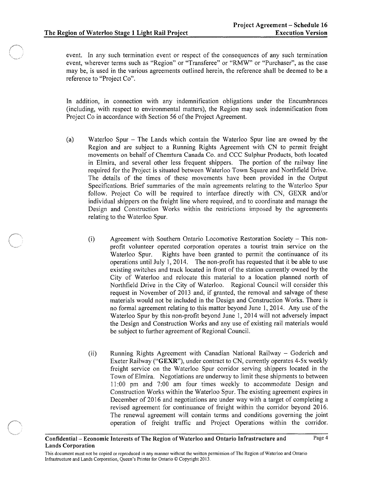event. In any such termination event or respect of the consequences of any such termination event, wherever terms such as "Region" or "Transferee" or "RMW" or "Purchaser", as the case may be, is used in the various agreements outlined herein, the reference shall be deemed to be a reference to "Project Co".

In addition, in connection with any indemnification obligations under the Encumbrances (including, with respect to environmental matters), the Region may seek indemnification from Project Co in accordance with Section 56 of the Project Agreement.

- (a) Waterloo Spur The Lands which contain the Waterloo Spur line are owned by the Region and are subject to a Running Rights Agreement with CN to permit freight movements on behalf of Chemtura Canada Co. and CCC Sulphur Products, both located in Elmira, and several other less frequent shippers. The portion of the railway line required for the Project is situated between Waterloo Town Square and Northfield Drive. The details of the times of these movements have been provided in the Output Specifications. Brief summaries of the main agreements relating to the Waterloo Spur follow. Project Co will be required to interface directly with CN, GEXR and/or individual shippers on the freight line where required, and to coordinate and manage the Design and Construction Works within the restrictions imposed by the agreements relating to the Waterloo Spur.
	- (i) Agreement with Southern Ontario Locomotive Restoration Society - This nonprofit volunteer operated corporation operates a tourist train service on the Waterloo Spur. Rights have been granted to permit the continuance of its operations until July 1,2014. The non-profit has requested that it be able to use existing switches and track located in front of the station currently owned by the City of Waterloo and relocate this material to a location planned north of Northfield Drive in the City of Waterloo. Regional Council will consider this request in November of 2013 and, if granted, the removal and salvage of these materials would not be included in the Design and Construction Works. There is no formal agreement relating to this matter beyond June 1, 2014. Any use of the Waterloo Spur by this non-profit beyond June 1, 2014 will not adversely impact the Design and Construction Works and any use of existing rail materials would be subject to further agreement of Regional Council.
	- (ii) Running Rights Agreement with Canadian National Railway - Goderich and Exeter Railway ("GEXR"), under contract to CN, currently operates 4-5x weekly freight service on the Waterloo Spur corridor serving shippers located in the Town of Elmira. Negotiations are underway to limit these shipments to between 11 :00 pm and 7:00 am four times weekly to accommodate Design and Construction Works within the Waterloo Spur. The existing agreement expires in December of 2016 and negotiations are under way with a target of completing a revised agreement for continuance of freight within the corridor beyond 2016. The renewal agreement will contain terms and conditions governing the joint operation of freight traffic and Project Operations within the corridor.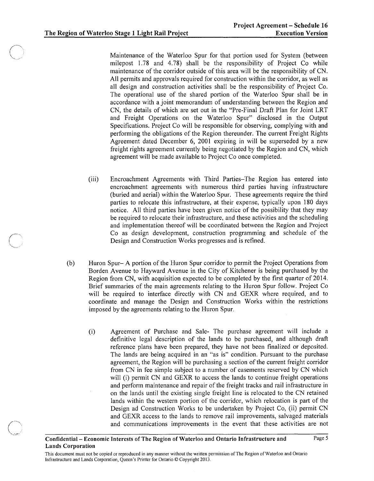Maintenance of the Waterloo Spur for that portion used for System (between milepost 1.78 and 4.78) shall be the responsibility of Project Co while maintenance of the corridor outside of this area will be the responsibility of CN. All permits and approvals required for construction within the corridor, as well as all design and construction activities shall be the responsibility of Project Co. The operational use of the shared portion of the Waterloo Spur shall be in accordance with a joint memorandum of understanding between the Region and CN, the details of which are set out in the "Pre-Final Draft Plan for Joint LRT and Freight Operations on the Waterloo Spur" disclosed in the Output Specifications. Project Co will be responsible for observing, complying with and performing the obligations of the Region thereunder. The current Freight Rights Agreement dated December 6, 2001 expiring in will be superseded by a new freight rights agreement currently being negotiated by the Region and CN, which agreement will be made available to Project Co once completed.

- (iii) Encroachment Agreements with Third Parties-The Region has entered into encroachment agreements with numerous third parties having infrastructure (buried and aerial) within the Waterloo Spur. These agreements require the third parties to relocate this infrastructure, at their expense, typically upon 180 days notice. All third parties have been given notice of the possibility that they may be required to relocate their infrastructure, and these activities and the scheduling and implementation thereof will be coordinated between the Region and Project Co as design development, construction programming and schedule of the Design and Construction Works progresses and is refined.
- (b) Huron Spur- A portion of the Huron Spur corridor to permit the Project Operations from Borden Avenue to Hayward Avenue in the City of Kitchener is being purchased by the Region from CN, with acquisition expected to be completed by the first quarter of 2014. Brief summaries of the main agreements relating to the Huron Spur follow. Project Co will be required to interface directly with CN and GEXR where required, and to coordinate and manage the Design and Construction Works within the restrictions imposed by the agreements relating to the Huron Spur.
	- (i) Agreement of Purchase and Sale- The purchase agreement will include a definitive legal description of the lands to be purchased, and although draft reference plans have been prepared, they have not been finalized or deposited. The lands are being acquired in an "as is" condition. Pursuant to the purchase agreement, the Region will be purchasing a section of the current freight corridor from CN in fee simple subject to a number of easements reserved by CN which will (i) permit CN and GEXR to access the lands to continue freight operations and perform maintenance and repair of the freight tracks and rail infrastructure in on the lands until the existing single freight line is relocated to the CN retained lands within the western portion of the corridor, which relocation is part of the Design ad Construction Works to be undertaken by Project Co, (ii) permit CN and GEXR access to the lands to remove rail improvements, salvaged materials and communications improvements in the event that these activities are not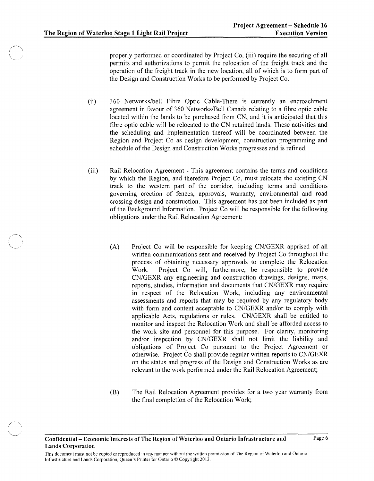properly performed or coordinated by Project Co, (iii) require the securing of all permits and authorizations to permit the relocation of the freight track and the operation of the freight track in the new location, all of which is to form part of the Design and Construction Works to be performed by Project Co.

- (ii) 360 Networks/bell Fibre Optic Cable-There is currently an encroachment agreement in favour of 360 Networks/BelI Canada relating to a fibre optic cable located within the lands to be purchased from CN, and it is anticipated that this fibre optic cable will be relocated to the CN retained lands. These activities and the scheduling and implementation thereof will be coordinated between the Region and Project Co as design development, construction programming and schedule of the Design and Construction Works progresses and is refined.
- (iii) Rail Relocation Agreement - This agreement contains the terms and conditions by which the Region, and therefore Project Co, must relocate the existing CN track to the western part of the corridor, including terms and conditions governing erection of fences, approvals, warranty, environmental and road crossing design and construction. This agreement has not been included as part of the Background Information. Project Co will be responsible for the following obligations under the Rail Relocation Agreement:
	- (A) Project Co will be responsible for keeping CN/GEXR apprised of all written communications sent and received by Project Co throughout the process of obtaining necessary approvals to complete the Relocation Work. Project Co will, furthermore, be responsible to provide CN/GEXR any engineering and construction drawings, designs, maps, reports, studies, information and documents that CN/GEXR may require in respect of the Relocation Work, including any environmental assessments and reports that may be required by any regulatory body with form and content acceptable to CN/GEXR and/or to comply with applicable Acts, regulations or rules. CN/GEXR shall be entitled to monitor and inspect the Relocation Work and shall be afforded access to the work site and personnel for this purpose. For clarity, monitoring and/or inspection by CN/GEXR shall not limit the liability and obligations of Project Co pursuant to the Project Agreement or otherwise. Project Co shall provide regular written reports to CN/GEXR on the status and progress of the Design and Construction Works as are relevant to the work performed under the Rail Relocation Agreement;
	- (B) The Rail Relocation Agreement provides for a two year warranty from the final completion of the Relocation Work;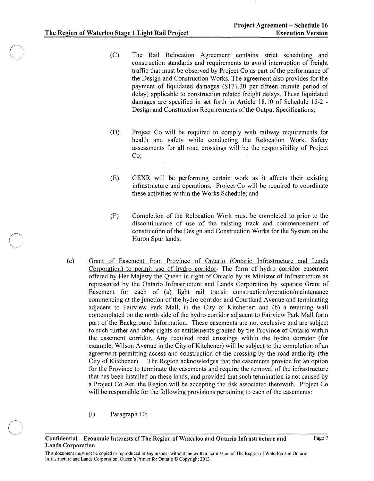- (C) The Rail Relocation Agreement contains strict scheduling and construction standards and requirements to avoid interruption of freight traffic that must be observed by Project Co as part of the performance of the Design and Construction Works. The agreement also provides for the payment of liquidated damages (\$171.30 per fifteen minute period of delay) applicable to construction related freight delays. These liquidated damages are specified in set forth in Article 18.10 of Schedule 15-2 - Design and Construction Requirements of the Output Specifications;
- (D) Project Co will be required to comply with railway requirements for health and safety while conducting the Relocation Work. Safety assessments for all road crossings will be the responsibility of Project Co;
- (E) GEXR will be performing certain work as it affects their existing infrastructure and operations. Project Co will be required to coordinate these activities within the Works Schedule; and
- (F) Completion of the Relocation Work must be completed to prior to the discontinuance of use of the existing track and commencement of construction of the Design and Construction Works for the System on the Huron Spur lands.
- (c) Grant of Easement from Province of Ontario (Ontario Infrastructure and Lands Corporation) to permit use of hydro corridor- The form of hydro corridor easement offered by Her Majesty the Queen in right of Ontario by its Minister of Infrastructure as represented by the Ontario Infrastructure and Lands Corporation by separate Grant of Easement for each of (a) light rail transit construction/operation/maintenance commencing at the junction of the hydro corridor and Courtland Avenue and tenninating adjacent to Fairview Park Mall, in the City of Kitchener; and (b) a retaining wall contemplated on the north side of the hydro corridor adjacent to Fairview Park Mall form part of the Background Information. These easements are not exclusive and are subject to such further and other rights or entitlements granted by the Province of Ontario within the easement corridor. Any required road crossings within the hydro corridor (for example, Wilson Avenue in the City of Kitchener) will be subject to the completion of an agreement permitting access and construction of the crossing by the road authority (the City of Kitchener). The Region acknowledges that the easements provide for an option for the Province to terminate the easements and require the removal of the infrastructure that has been installed on these lands, and provided that such termination is not caused by a Project Co Act, the Region will be accepting the risk associated therewith. Project Co will be responsible for the following provisions pertaining to each of the easements:
	- (i) Paragraph 10;

Confidential- Economic Interests of The Region of Waterloo and Ontario Infrastructure and Page 7 Lands Corporation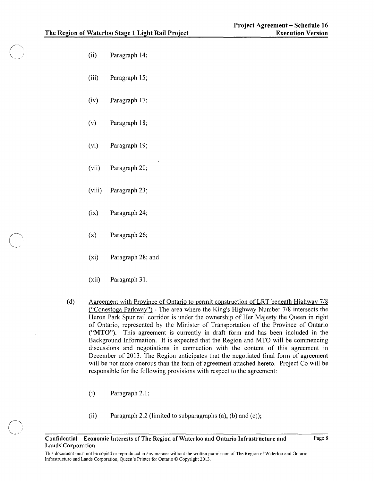- (ii) Paragraph 14;
- (iii) Paragraph 15;
- (iv) Paragraph 17;
- (v) Paragraph 18;
- (vi) Paragraph 19;
- (vii) Paragraph 20;
- (viii) Paragraph 23;
- (ix) Paragraph 24;
- (x) Paragraph 26;
- (xi) Paragraph 28; and
- (xii) Paragraph 31.
- (d) Agreement with Province of Ontario to permit construction of LRT beneath Highway 7/8 ("Conestoga Parkway") - The area where the King's Highway Number 7/8 intersects the Huron Park Spur rail corridor is under the ownership of Her Majesty the Queen in right of Ontario, represented by the Minister of Transportation of the Province of Ontario ("MTO"). This agreement is currently in draft form and has been included in the Background Information. It is expected that the Region and MTO will be commencing discussions and negotiations in connection with the content of this agreement in December of 2013. The Region anticipates that the negotiated final form of agreement will be not more onerous than the form of agreement attached hereto. Project Co will be responsible for the following provisions with respect to the agreement:
	- (i) Paragraph 2.1;
	- (ii) Paragraph 2.2 (limited to subparagraphs  $(a)$ ,  $(b)$  and  $(c)$ );

This document must not be copied or reproduced in any manner without the written permission of The Region of Waterloo and Ontario Infrastructure and Lands Corporation, Queen's Printer for Ontario © Copyright 2013.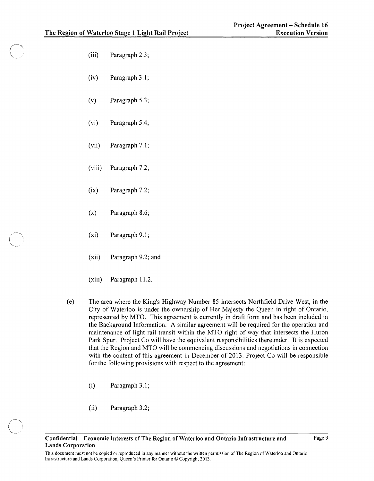- (iii) Paragraph 2.3;
- (iv) Paragraph 3.1;
- (v) Paragraph 5.3;
- (vi) Paragraph 5.4;
- (vii) Paragraph 7.1;
- (viii) Paragraph 7.2;
- (ix) Paragraph 7.2;
- (x) Paragraph 8.6;
- (xi) Paragraph 9.1;
- (xii) Paragraph 9.2; and
- (xiii) Paragraph 11.2.
- (e) The area where the King's Highway Number 85 intersects Northfield Drive West, in the City of Waterloo is under the ownership of Her Majesty the Queen in right of Ontario, represented by MTO. This agreement is currently in draft form and has been included in the Background Information. A similar agreement will be required for the operation and maintenance of light rail transit within the MTO right of way that intersects the Huron Park Spur. Project Co will have the equivalent responsibilities thereunder. It is expected that the Region and MTO will be commencing discussions and negotiations in connection with the content of this agreement in December of 2013. Project Co will be responsible for the following provisions with respect to the agreement:
	- (i) Paragraph 3.l;
	- (ii) Paragraph 3.2;

This document must not be copied or reproduced in any manner without the written permission of The Region of Waterloo and Ontario Infrastructure and Lands Corporation, Queen's Printer for Ontario © Copyright 2013.